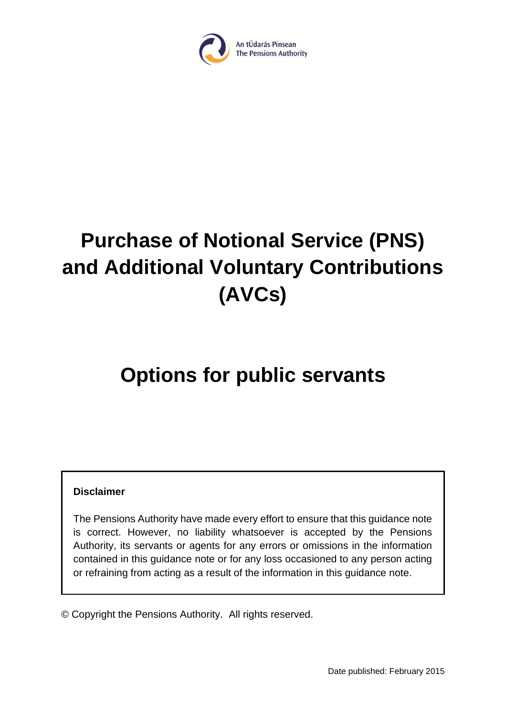

# **Purchase of Notional Service (PNS) and Additional Voluntary Contributions (AVCs)**

# **Options for public servants**

#### **Disclaimer**

The Pensions Authority have made every effort to ensure that this guidance note is correct. However, no liability whatsoever is accepted by the Pensions Authority, its servants or agents for any errors or omissions in the information contained in this guidance note or for any loss occasioned to any person acting or refraining from acting as a result of the information in this guidance note.

© Copyright the Pensions Authority. All rights reserved.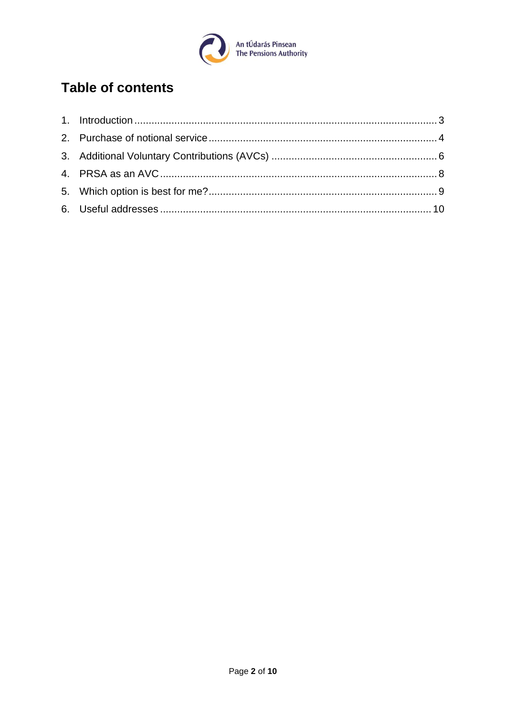

## **Table of contents**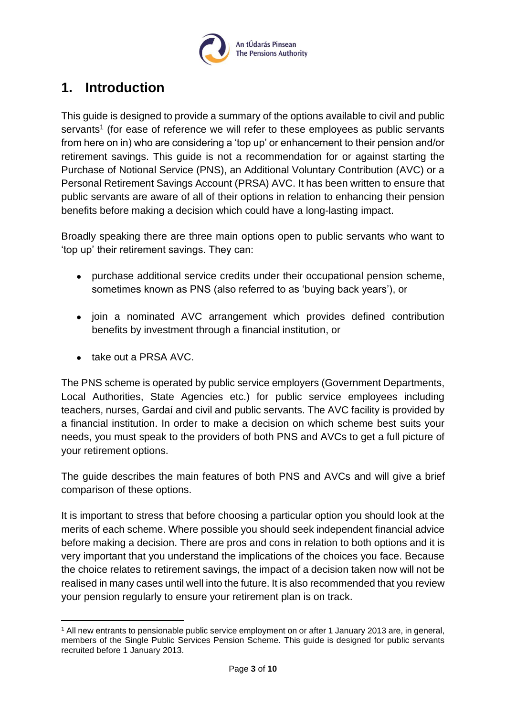

## <span id="page-2-0"></span>**1. Introduction**

This guide is designed to provide a summary of the options available to civil and public servants<sup>1</sup> (for ease of reference we will refer to these employees as public servants from here on in) who are considering a 'top up' or enhancement to their pension and/or retirement savings. This guide is not a recommendation for or against starting the Purchase of Notional Service (PNS), an Additional Voluntary Contribution (AVC) or a Personal Retirement Savings Account (PRSA) AVC. It has been written to ensure that public servants are aware of all of their options in relation to enhancing their pension benefits before making a decision which could have a long-lasting impact.

Broadly speaking there are three main options open to public servants who want to 'top up' their retirement savings. They can:

- purchase additional service credits under their occupational pension scheme, sometimes known as PNS (also referred to as 'buying back years'), or
- join a nominated AVC arrangement which provides defined contribution benefits by investment through a financial institution, or
- take out a PRSA AVC.

The PNS scheme is operated by public service employers (Government Departments, Local Authorities, State Agencies etc.) for public service employees including teachers, nurses, Gardaí and civil and public servants. The AVC facility is provided by a financial institution. In order to make a decision on which scheme best suits your needs, you must speak to the providers of both PNS and AVCs to get a full picture of your retirement options.

The guide describes the main features of both PNS and AVCs and will give a brief comparison of these options.

It is important to stress that before choosing a particular option you should look at the merits of each scheme. Where possible you should seek independent financial advice before making a decision. There are pros and cons in relation to both options and it is very important that you understand the implications of the choices you face. Because the choice relates to retirement savings, the impact of a decision taken now will not be realised in many cases until well into the future. It is also recommended that you review your pension regularly to ensure your retirement plan is on track.

<sup>1</sup> All new entrants to pensionable public service employment on or after 1 January 2013 are, in general, members of the Single Public Services Pension Scheme. This guide is designed for public servants recruited before 1 January 2013.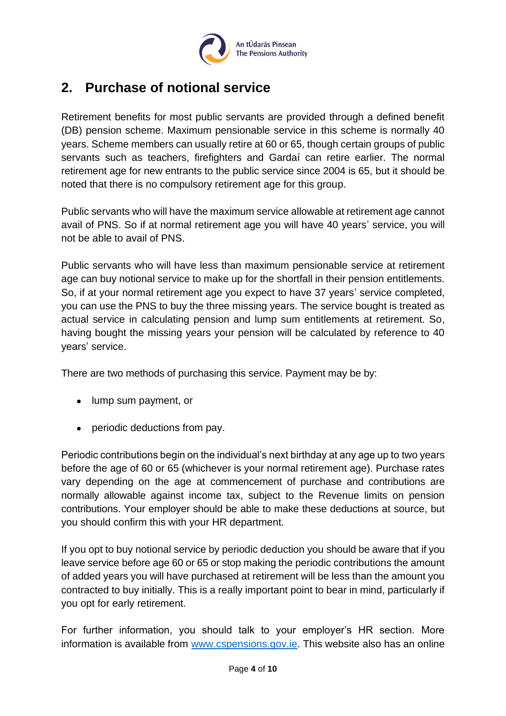

### <span id="page-3-0"></span>**2. Purchase of notional service**

Retirement benefits for most public servants are provided through a defined benefit (DB) pension scheme. Maximum pensionable service in this scheme is normally 40 years. Scheme members can usually retire at 60 or 65, though certain groups of public servants such as teachers, firefighters and Gardaí can retire earlier. The normal retirement age for new entrants to the public service since 2004 is 65, but it should be noted that there is no compulsory retirement age for this group.

Public servants who will have the maximum service allowable at retirement age cannot avail of PNS. So if at normal retirement age you will have 40 years' service, you will not be able to avail of PNS.

Public servants who will have less than maximum pensionable service at retirement age can buy notional service to make up for the shortfall in their pension entitlements. So, if at your normal retirement age you expect to have 37 years' service completed, you can use the PNS to buy the three missing years. The service bought is treated as actual service in calculating pension and lump sum entitlements at retirement. So, having bought the missing years your pension will be calculated by reference to 40 years' service.

There are two methods of purchasing this service. Payment may be by:

- lump sum payment, or
- periodic deductions from pay.

Periodic contributions begin on the individual's next birthday at any age up to two years before the age of 60 or 65 (whichever is your normal retirement age). Purchase rates vary depending on the age at commencement of purchase and contributions are normally allowable against income tax, subject to the Revenue limits on pension contributions. Your employer should be able to make these deductions at source, but you should confirm this with your HR department.

If you opt to buy notional service by periodic deduction you should be aware that if you leave service before age 60 or 65 or stop making the periodic contributions the amount of added years you will have purchased at retirement will be less than the amount you contracted to buy initially. This is a really important point to bear in mind, particularly if you opt for early retirement.

For further information, you should talk to your employer's HR section. More information is available from [www.cspensions.gov.ie.](http://www.cspensions.gov.ie/) This website also has an online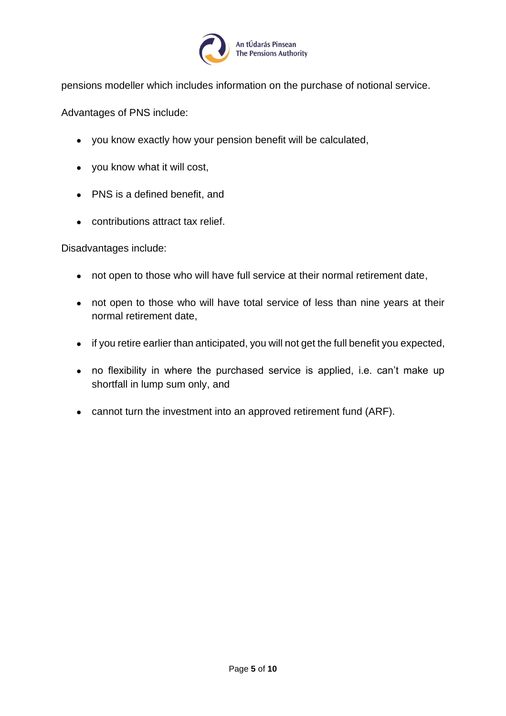

pensions modeller which includes information on the purchase of notional service.

Advantages of PNS include:

- you know exactly how your pension benefit will be calculated,
- you know what it will cost,
- PNS is a defined benefit, and
- contributions attract tax relief.

Disadvantages include:

- not open to those who will have full service at their normal retirement date,
- not open to those who will have total service of less than nine years at their normal retirement date,
- if you retire earlier than anticipated, you will not get the full benefit you expected,
- no flexibility in where the purchased service is applied, i.e. can't make up shortfall in lump sum only, and
- <span id="page-4-0"></span>• cannot turn the investment into an approved retirement fund (ARF).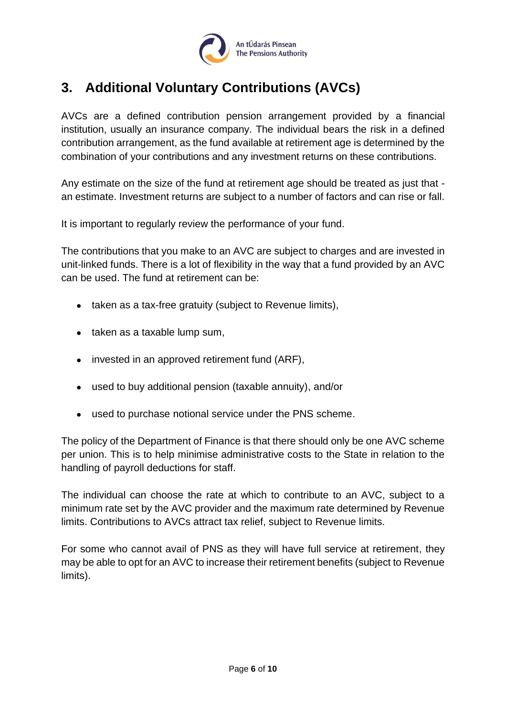

## **3. Additional Voluntary Contributions (AVCs)**

AVCs are a defined contribution pension arrangement provided by a financial institution, usually an insurance company. The individual bears the risk in a defined contribution arrangement, as the fund available at retirement age is determined by the combination of your contributions and any investment returns on these contributions.

Any estimate on the size of the fund at retirement age should be treated as just that an estimate. Investment returns are subject to a number of factors and can rise or fall.

It is important to regularly review the performance of your fund.

The contributions that you make to an AVC are subject to charges and are invested in unit-linked funds. There is a lot of flexibility in the way that a fund provided by an AVC can be used. The fund at retirement can be:

- taken as a tax-free gratuity (subject to Revenue limits),
- taken as a taxable lump sum,
- invested in an approved retirement fund (ARF),
- used to buy additional pension (taxable annuity), and/or
- used to purchase notional service under the PNS scheme.

The policy of the Department of Finance is that there should only be one AVC scheme per union. This is to help minimise administrative costs to the State in relation to the handling of payroll deductions for staff.

The individual can choose the rate at which to contribute to an AVC, subject to a minimum rate set by the AVC provider and the maximum rate determined by Revenue limits. Contributions to AVCs attract tax relief, subject to Revenue limits.

For some who cannot avail of PNS as they will have full service at retirement, they may be able to opt for an AVC to increase their retirement benefits (subject to Revenue limits).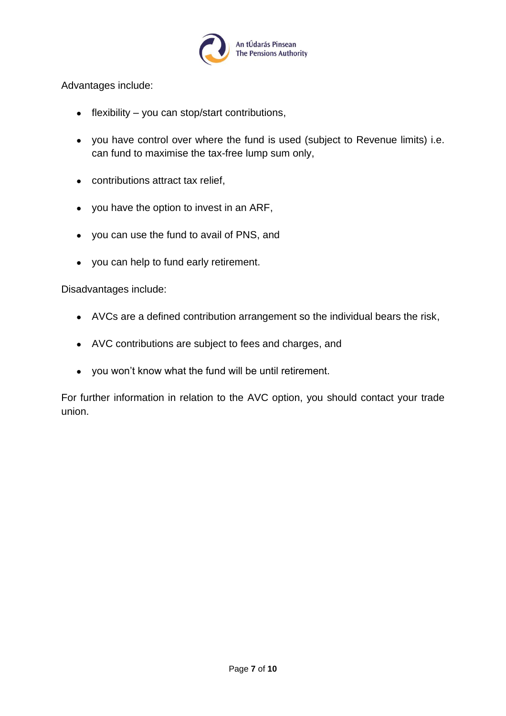

Advantages include:

- flexibility you can stop/start contributions,
- you have control over where the fund is used (subject to Revenue limits) i.e. can fund to maximise the tax-free lump sum only,
- contributions attract tax relief,
- you have the option to invest in an ARF,
- you can use the fund to avail of PNS, and
- you can help to fund early retirement.

Disadvantages include:

- AVCs are a defined contribution arrangement so the individual bears the risk,
- AVC contributions are subject to fees and charges, and
- you won't know what the fund will be until retirement.

<span id="page-6-0"></span>For further information in relation to the AVC option, you should contact your trade union.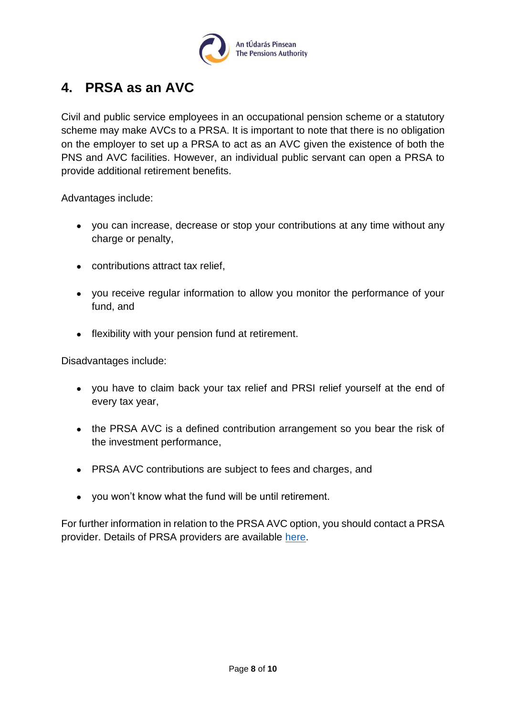

## **4. PRSA as an AVC**

Civil and public service employees in an occupational pension scheme or a statutory scheme may make AVCs to a PRSA. It is important to note that there is no obligation on the employer to set up a PRSA to act as an AVC given the existence of both the PNS and AVC facilities. However, an individual public servant can open a PRSA to provide additional retirement benefits.

Advantages include:

- you can increase, decrease or stop your contributions at any time without any charge or penalty,
- contributions attract tax relief,
- you receive regular information to allow you monitor the performance of your fund, and
- flexibility with your pension fund at retirement.

Disadvantages include:

- you have to claim back your tax relief and PRSI relief yourself at the end of every tax year,
- the PRSA AVC is a defined contribution arrangement so you bear the risk of the investment performance,
- PRSA AVC contributions are subject to fees and charges, and
- you won't know what the fund will be until retirement.

<span id="page-7-0"></span>For further information in relation to the PRSA AVC option, you should contact a PRSA provider. Details of PRSA providers are available [here.](https://www.pensionsauthority.ie/en/prsa_providers/prsas/)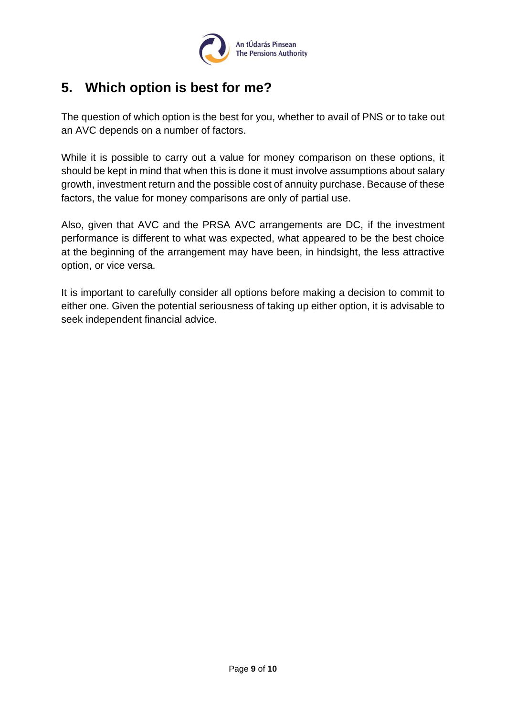

## **5. Which option is best for me?**

The question of which option is the best for you, whether to avail of PNS or to take out an AVC depends on a number of factors.

While it is possible to carry out a value for money comparison on these options, it should be kept in mind that when this is done it must involve assumptions about salary growth, investment return and the possible cost of annuity purchase. Because of these factors, the value for money comparisons are only of partial use.

Also, given that AVC and the PRSA AVC arrangements are DC, if the investment performance is different to what was expected, what appeared to be the best choice at the beginning of the arrangement may have been, in hindsight, the less attractive option, or vice versa.

<span id="page-8-0"></span>It is important to carefully consider all options before making a decision to commit to either one. Given the potential seriousness of taking up either option, it is advisable to seek independent financial advice.